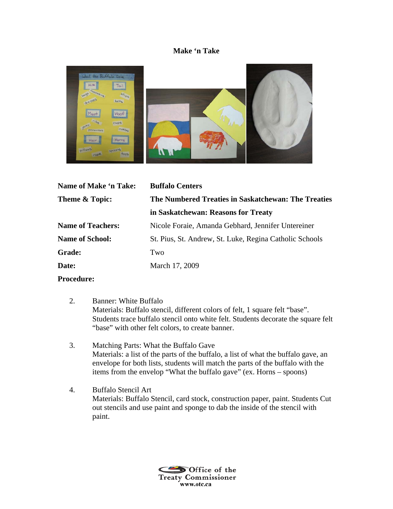## **Make 'n Take**



| <b>Name of Make 'n Take:</b> | <b>Buffalo Centers</b>                                  |
|------------------------------|---------------------------------------------------------|
| Theme & Topic:               | The Numbered Treaties in Saskatchewan: The Treaties     |
|                              | in Saskatchewan: Reasons for Treaty                     |
| <b>Name of Teachers:</b>     | Nicole Foraie, Amanda Gebhard, Jennifer Untereiner      |
| <b>Name of School:</b>       | St. Pius, St. Andrew, St. Luke, Regina Catholic Schools |
| <b>Grade:</b>                | Two                                                     |
| Date:                        | March 17, 2009                                          |
|                              |                                                         |

**Procedure:** 

- 2. Banner: White Buffalo Materials: Buffalo stencil, different colors of felt, 1 square felt "base". Students trace buffalo stencil onto white felt. Students decorate the square felt "base" with other felt colors, to create banner.
- 3. Matching Parts: What the Buffalo Gave Materials: a list of the parts of the buffalo, a list of what the buffalo gave, an envelope for both lists, students will match the parts of the buffalo with the items from the envelop "What the buffalo gave" (ex. Horns – spoons)
- 4. Buffalo Stencil Art Materials: Buffalo Stencil, card stock, construction paper, paint. Students Cut out stencils and use paint and sponge to dab the inside of the stencil with paint.